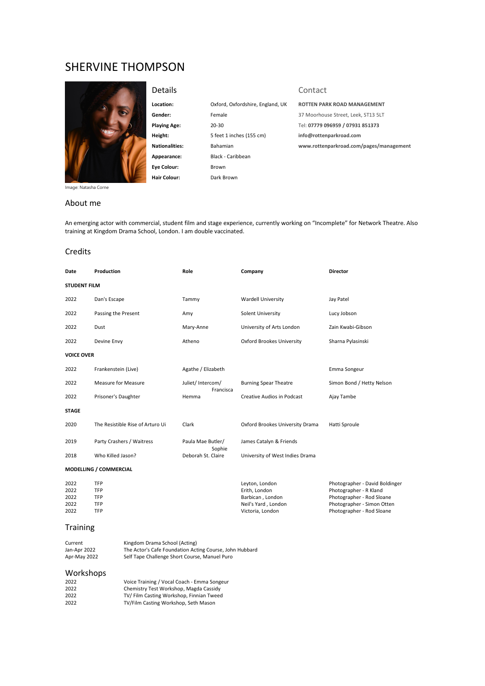# SHERVINE THOMPSON



**Location:** Oxford, Oxfordshire, England, UK **ROTTEN PARK ROAD MANAGEMENT**

**Height:** 5 feet 1 inches (155 cm) **info@rottenparkroad.com Appearance:** Black - Caribbean **Eye Colour:** Brown **Hair Colour:** Dark Brown

# Details Contact

**Gender:** Female 37 Moorhouse Street, Leek, ST13 5LT **Playing Age:** 20-30 Tel: **07779 096959 / 07931 851373 Nationalities:** Bahamian **www.rottenparkroad.com/pages/management**

Photographer - Rod Sloane

Image: Natasha Corne

### About me

An emerging actor with commercial, student film and stage experience, currently working on "Incomplete" for Network Theatre. Also training at Kingdom Drama School, London. I am double vaccinated.

#### Credits

| Date                         | Production                       | Role                        | Company                                                                    | <b>Director</b>                                                                                                     |  |  |  |
|------------------------------|----------------------------------|-----------------------------|----------------------------------------------------------------------------|---------------------------------------------------------------------------------------------------------------------|--|--|--|
| <b>STUDENT FILM</b>          |                                  |                             |                                                                            |                                                                                                                     |  |  |  |
| 2022                         | Dan's Escape                     | Tammy                       | <b>Wardell University</b>                                                  | Jay Patel                                                                                                           |  |  |  |
| 2022                         | Passing the Present              | Amy                         | Solent University                                                          | Lucy Jobson                                                                                                         |  |  |  |
| 2022                         | Dust                             | Mary-Anne                   | University of Arts London                                                  | Zain Kwabi-Gibson                                                                                                   |  |  |  |
| 2022                         | Devine Envy                      | Atheno                      | Oxford Brookes University                                                  | Sharna Pylasinski                                                                                                   |  |  |  |
| <b>VOICE OVER</b>            |                                  |                             |                                                                            |                                                                                                                     |  |  |  |
| 2022                         | Frankenstein (Live)              | Agathe / Elizabeth          |                                                                            | Emma Songeur                                                                                                        |  |  |  |
| 2022                         | <b>Measure for Measure</b>       | Juliet/ Intercom/           | <b>Burning Spear Theatre</b>                                               | Simon Bond / Hetty Nelson                                                                                           |  |  |  |
| 2022                         | Prisoner's Daughter              | Francisca<br>Hemma          | Creative Audios in Podcast                                                 | Ajay Tambe                                                                                                          |  |  |  |
| <b>STAGE</b>                 |                                  |                             |                                                                            |                                                                                                                     |  |  |  |
| 2020                         | The Resistible Rise of Arturo Ui | Clark                       | Oxford Brookes University Drama                                            | Hatti Sproule                                                                                                       |  |  |  |
| 2019                         | Party Crashers / Waitress        | Paula Mae Butler/<br>Sophie | James Catalyn & Friends                                                    |                                                                                                                     |  |  |  |
| 2018                         | Who Killed Jason?                | Deborah St. Claire          | University of West Indies Drama                                            |                                                                                                                     |  |  |  |
| MODELLING / COMMERCIAL       |                                  |                             |                                                                            |                                                                                                                     |  |  |  |
| 2022<br>2022<br>2022<br>2022 | <b>TFP</b><br>TFP<br>TFP<br>TFP  |                             | Leyton, London<br>Erith, London<br>Barbican, London<br>Neil's Yard, London | Photographer - David Boldinger<br>Photographer - R Kland<br>Photographer - Rod Sloane<br>Photographer - Simon Otten |  |  |  |
| 2022                         | <b>TFP</b>                       |                             | Victoria, London                                                           | Photographer - Rod Sloane                                                                                           |  |  |  |

# **Training**

| Current      | Kingdom Drama School (Acting)                           |
|--------------|---------------------------------------------------------|
| Jan-Apr 2022 | The Actor's Cafe Foundation Acting Course, John Hubbard |
| Apr-May 2022 | Self Tape Challenge Short Course, Manuel Puro           |

# Workshops

| 2022 | Voice Training / Vocal Coach - Emma Songeur |  |
|------|---------------------------------------------|--|
| 2022 | Chemistry Test Workshop, Magda Cassidy      |  |
| 2022 | TV/Film Casting Workshop, Finnian Tweed     |  |
| 2022 | TV/Film Casting Workshop, Seth Mason        |  |